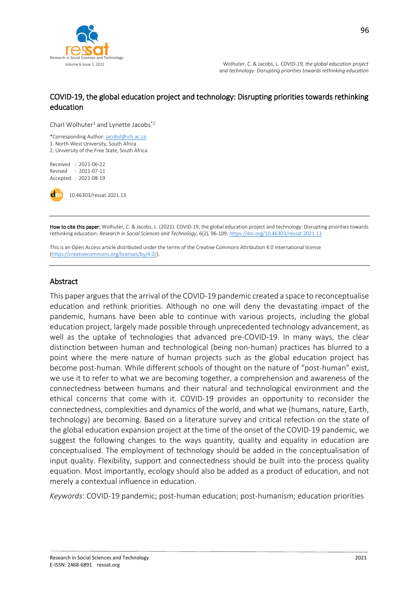

 Volume 6 Issue 2, 2021 Wolhuter, C. & Jacobs, L. *COVID-19, the global education project and technology: Disrupting priorities towards rethinking education*

## COVID-19, the global education project and technology: Disrupting priorities towards rethinking education

Charl Wolhuter<sup>1</sup> and Lynette Jacobs<sup>\*2</sup>

\*Corresponding Author[: jacobsl@ufs.ac.za](mailto:jacobsl@ufs.ac.za) 1. North-West University, South Africa 2. University of the Free State, South Africa

Received : 2021-06-22 Revised : 2021-07-11 Accepted : 2021-08-19

10.46303/ressat.2021.13

How to cite this paper: Wolhuter, C. & Jacobs, L. (2021). COVID-19, the global education project and technology: Disrupting priorities towards rethinking education. *Research in Social Sciences and Technology*, 6(2), 96-109[. https://doi.org/10.46303/ressat.2021.13](https://doi.org/10.46303/ressat.2021.13)

This is an Open Access article distributed under the terms of the Creative Commons Attribution 4.0 International license [\(https://creativecommons.org/licenses/by/4.0/\).](https://creativecommons.org/licenses/by/4.0/)

#### Abstract

This paper argues that the arrival of the COVID-19 pandemic created a space to reconceptualise education and rethink priorities. Although no one will deny the devastating impact of the pandemic, humans have been able to continue with various projects, including the global education project, largely made possible through unprecedented technology advancement, as well as the uptake of technologies that advanced pre-COVID-19. In many ways, the clear distinction between human and technological (being non-human) practices has blurred to a point where the mere nature of human projects such as the global education project has become post-human. While different schools of thought on the nature of "post-human" exist, we use it to refer to what we are becoming together, a comprehension and awareness of the connectedness between humans and their natural and technological environment and the ethical concerns that come with it. COVID-19 provides an opportunity to reconsider the connectedness, complexities and dynamics of the world, and what we (humans, nature, Earth, technology) are becoming. Based on a literature survey and critical refection on the state of the global education expansion project at the time of the onset of the COVID-19 pandemic, we suggest the following changes to the ways quantity, quality and equality in education are conceptualised. The employment of technology should be added in the conceptualisation of input quality. Flexibility, support and connectedness should be built into the process quality equation. Most importantly, ecology should also be added as a product of education, and not merely a contextual influence in education.

*Keywords*: COVID-19 pandemic; post-human education; post-humanism; education priorities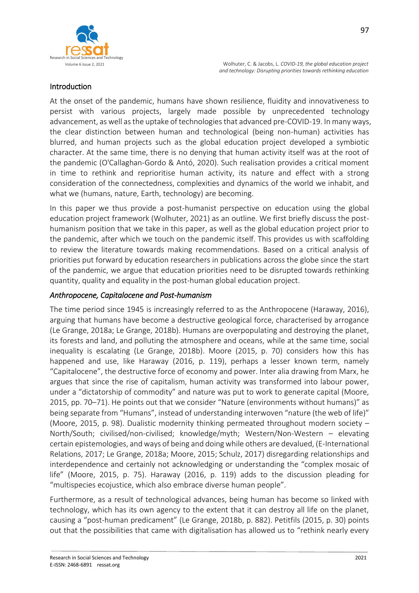

## Introduction

At the onset of the pandemic, humans have shown resilience, fluidity and innovativeness to persist with various projects, largely made possible by unprecedented technology advancement, as well as the uptake of technologies that advanced pre-COVID-19. In many ways, the clear distinction between human and technological (being non-human) activities has blurred, and human projects such as the global education project developed a symbiotic character. At the same time, there is no denying that human activity itself was at the root of the pandemic (O'Callaghan-Gordo & Antó, 2020). Such realisation provides a critical moment in time to rethink and reprioritise human activity, its nature and effect with a strong consideration of the connectedness, complexities and dynamics of the world we inhabit, and what we (humans, nature, Earth, technology) are becoming.

In this paper we thus provide a post-humanist perspective on education using the global education project framework (Wolhuter, 2021) as an outline. We first briefly discuss the posthumanism position that we take in this paper, as well as the global education project prior to the pandemic, after which we touch on the pandemic itself. This provides us with scaffolding to review the literature towards making recommendations. Based on a critical analysis of priorities put forward by education researchers in publications across the globe since the start of the pandemic, we argue that education priorities need to be disrupted towards rethinking quantity, quality and equality in the post-human global education project.

#### *Anthropocene, Capitalocene and Post-humanism*

The time period since 1945 is increasingly referred to as the Anthropocene (Haraway, 2016), arguing that humans have become a destructive geological force, characterised by arrogance (Le Grange, 2018a; Le Grange, 2018b). Humans are overpopulating and destroying the planet, its forests and land, and polluting the atmosphere and oceans, while at the same time, social inequality is escalating (Le Grange, 2018b). Moore (2015, p. 70) considers how this has happened and use, like Haraway (2016, p. 119), perhaps a lesser known term, namely "Capitalocene", the destructive force of economy and power. Inter alia drawing from Marx, he argues that since the rise of capitalism, human activity was transformed into labour power, under a "dictatorship of commodity" and nature was put to work to generate capital (Moore, 2015, pp. 70–71). He points out that we consider "Nature (environments without humans)" as being separate from "Humans", instead of understanding interwoven "nature (the web of life)" (Moore, 2015, p. 98). Dualistic modernity thinking permeated throughout modern society – North/South; civilised/non-civilised; knowledge/myth; Western/Non-Western – elevating certain epistemologies, and ways of being and doing while others are devalued, (E-International Relations, 2017; Le Grange, 2018a; Moore, 2015; Schulz, 2017) disregarding relationships and interdependence and certainly not acknowledging or understanding the "complex mosaic of life" (Moore, 2015, p. 75). Haraway (2016, p. 119) adds to the discussion pleading for "multispecies ecojustice, which also embrace diverse human people".

Furthermore, as a result of technological advances, being human has become so linked with technology, which has its own agency to the extent that it can destroy all life on the planet, causing a "post-human predicament" (Le Grange, 2018b, p. 882). Petitfils (2015, p. 30) points out that the possibilities that came with digitalisation has allowed us to "rethink nearly every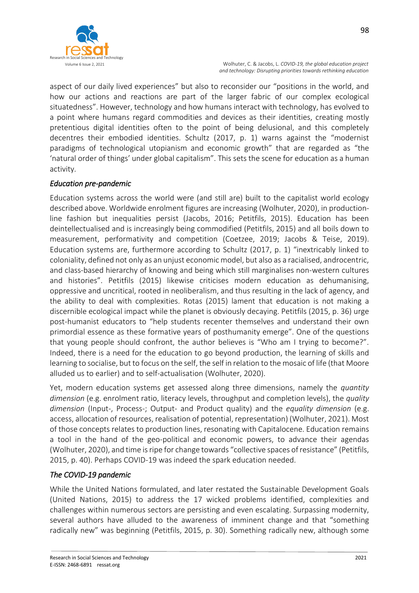

aspect of our daily lived experiences" but also to reconsider our "positions in the world, and how our actions and reactions are part of the larger fabric of our complex ecological situatedness". However, technology and how humans interact with technology, has evolved to a point where humans regard commodities and devices as their identities, creating mostly pretentious digital identities often to the point of being delusional, and this completely decentres their embodied identities. Schultz (2017, p. 1) warns against the "modernist paradigms of technological utopianism and economic growth" that are regarded as "the 'natural order of things' under global capitalism". This sets the scene for education as a human activity.

## *Education pre-pandemic*

Education systems across the world were (and still are) built to the capitalist world ecology described above. Worldwide enrolment figures are increasing (Wolhuter, 2020), in productionline fashion but inequalities persist (Jacobs, 2016; Petitfils, 2015). Education has been deintellectualised and is increasingly being commodified (Petitfils, 2015) and all boils down to measurement, performativity and competition (Coetzee, 2019; Jacobs & Teise, 2019). Education systems are, furthermore according to Schultz (2017, p. 1) "inextricably linked to coloniality, defined not only as an unjust economic model, but also as a racialised, androcentric, and class-based hierarchy of knowing and being which still marginalises non-western cultures and histories". Petitfils (2015) likewise criticises modern education as dehumanising, oppressive and uncritical, rooted in neoliberalism, and thus resulting in the lack of agency, and the ability to deal with complexities. Rotas (2015) lament that education is not making a discernible ecological impact while the planet is obviously decaying. Petitfils (2015, p. 36) urge post-humanist educators to "help students recenter themselves and understand their own primordial essence as these formative years of posthumanity emerge". One of the questions that young people should confront, the author believes is "Who am I trying to become?". Indeed, there is a need for the education to go beyond production, the learning of skills and learning to socialise, but to focus on the self, the self in relation to the mosaic of life (that Moore alluded us to earlier) and to self-actualisation (Wolhuter, 2020).

Yet, modern education systems get assessed along three dimensions, namely the *quantity dimension* (e.g. enrolment ratio, literacy levels, throughput and completion levels), the *quality dimension* (Input-, Process-; Output- and Product quality) and the *equality dimension* (e.g. access, allocation of resources, realisation of potential, representation) (Wolhuter, 2021). Most of those concepts relates to production lines, resonating with Capitalocene. Education remains a tool in the hand of the geo-political and economic powers, to advance their agendas (Wolhuter, 2020), and time is ripe for change towards "collective spaces of resistance" (Petitfils, 2015, p. 40). Perhaps COVID-19 was indeed the spark education needed.

# *The COVID-19 pandemic*

While the United Nations formulated, and later restated the Sustainable Development Goals (United Nations, 2015) to address the 17 wicked problems identified, complexities and challenges within numerous sectors are persisting and even escalating. Surpassing modernity, several authors have alluded to the awareness of imminent change and that "something radically new" was beginning (Petitfils, 2015, p. 30). Something radically new, although some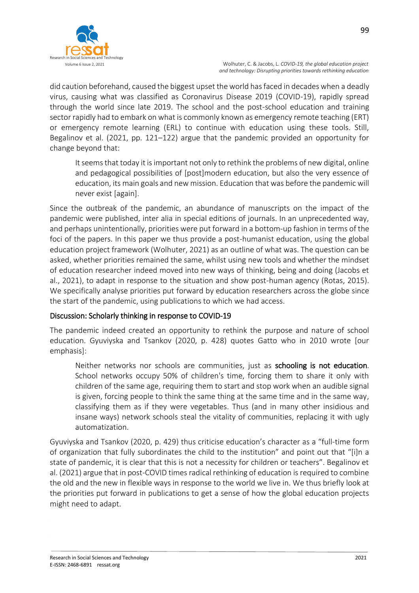

did caution beforehand, caused the biggest upset the world has faced in decades when a deadly virus, causing what was classified as Coronavirus Disease 2019 (COVID-19), rapidly spread through the world since late 2019. The school and the post-school education and training sector rapidly had to embark on what is commonly known as emergency remote teaching (ERT) or emergency remote learning (ERL) to continue with education using these tools. Still, Begalinov et al. (2021, pp. 121–122) argue that the pandemic provided an opportunity for change beyond that:

It seems that today it is important not only to rethink the problems of new digital, online and pedagogical possibilities of [post]modern education, but also the very essence of education, its main goals and new mission. Education that was before the pandemic will never exist [again].

Since the outbreak of the pandemic, an abundance of manuscripts on the impact of the pandemic were published, inter alia in special editions of journals. In an unprecedented way, and perhaps unintentionally, priorities were put forward in a bottom-up fashion in terms of the foci of the papers. In this paper we thus provide a post-humanist education, using the global education project framework (Wolhuter, 2021) as an outline of what was. The question can be asked, whether priorities remained the same, whilst using new tools and whether the mindset of education researcher indeed moved into new ways of thinking, being and doing (Jacobs et al., 2021), to adapt in response to the situation and show post-human agency (Rotas, 2015). We specifically analyse priorities put forward by education researchers across the globe since the start of the pandemic, using publications to which we had access.

# Discussion: Scholarly thinking in response to COVID-19

The pandemic indeed created an opportunity to rethink the purpose and nature of school education. Gyuviyska and Tsankov (2020, p. 428) quotes Gatto who in 2010 wrote [our emphasis]:

Neither networks nor schools are communities, just as schooling is not education. School networks occupy 50% of children's time, forcing them to share it only with children of the same age, requiring them to start and stop work when an audible signal is given, forcing people to think the same thing at the same time and in the same way, classifying them as if they were vegetables. Thus (and in many other insidious and insane ways) network schools steal the vitality of communities, replacing it with ugly automatization.

Gyuviyska and Tsankov (2020, p. 429) thus criticise education's character as a "full-time form of organization that fully subordinates the child to the institution" and point out that "[i]n a state of pandemic, it is clear that this is not a necessity for children or teachers". Begalinov et al. (2021) argue that in post-COVID times radical rethinking of education is required to combine the old and the new in flexible ways in response to the world we live in. We thus briefly look at the priorities put forward in publications to get a sense of how the global education projects might need to adapt.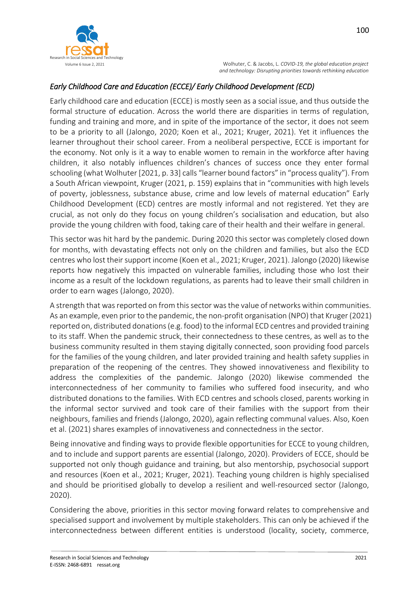

# *Early Childhood Care and Education (ECCE)/ Early Childhood Development (ECD)*

Early childhood care and education (ECCE) is mostly seen as a social issue, and thus outside the formal structure of education. Across the world there are disparities in terms of regulation, funding and training and more, and in spite of the importance of the sector, it does not seem to be a priority to all (Jalongo, 2020; Koen et al., 2021; Kruger, 2021). Yet it influences the learner throughout their school career. From a neoliberal perspective, ECCE is important for the economy. Not only is it a way to enable women to remain in the workforce after having children, it also notably influences children's chances of success once they enter formal schooling (what Wolhuter [2021, p. 33] calls "learner bound factors" in "process quality"). From a South African viewpoint, Kruger (2021, p. 159) explains that in "communities with high levels of poverty, joblessness, substance abuse, crime and low levels of maternal education" Early Childhood Development (ECD) centres are mostly informal and not registered. Yet they are crucial, as not only do they focus on young children's socialisation and education, but also provide the young children with food, taking care of their health and their welfare in general.

This sector was hit hard by the pandemic. During 2020 this sector was completely closed down for months, with devastating effects not only on the children and families, but also the ECD centres who lost their support income (Koen et al., 2021; Kruger, 2021). Jalongo (2020) likewise reports how negatively this impacted on vulnerable families, including those who lost their income as a result of the lockdown regulations, as parents had to leave their small children in order to earn wages (Jalongo, 2020).

A strength that was reported on from this sector was the value of networks within communities. As an example, even prior to the pandemic, the non-profit organisation (NPO) that Kruger (2021) reported on, distributed donations (e.g. food) to the informal ECD centres and provided training to its staff. When the pandemic struck, their connectedness to these centres, as well as to the business community resulted in them staying digitally connected, soon providing food parcels for the families of the young children, and later provided training and health safety supplies in preparation of the reopening of the centres. They showed innovativeness and flexibility to address the complexities of the pandemic. Jalongo (2020) likewise commended the interconnectedness of her community to families who suffered food insecurity, and who distributed donations to the families. With ECD centres and schools closed, parents working in the informal sector survived and took care of their families with the support from their neighbours, families and friends (Jalongo, 2020), again reflecting communal values. Also, Koen et al. (2021) shares examples of innovativeness and connectedness in the sector.

Being innovative and finding ways to provide flexible opportunities for ECCE to young children, and to include and support parents are essential (Jalongo, 2020). Providers of ECCE, should be supported not only though guidance and training, but also mentorship, psychosocial support and resources (Koen et al., 2021; Kruger, 2021). Teaching young children is highly specialised and should be prioritised globally to develop a resilient and well-resourced sector (Jalongo, 2020).

Considering the above, priorities in this sector moving forward relates to comprehensive and specialised support and involvement by multiple stakeholders. This can only be achieved if the interconnectedness between different entities is understood (locality, society, commerce,

100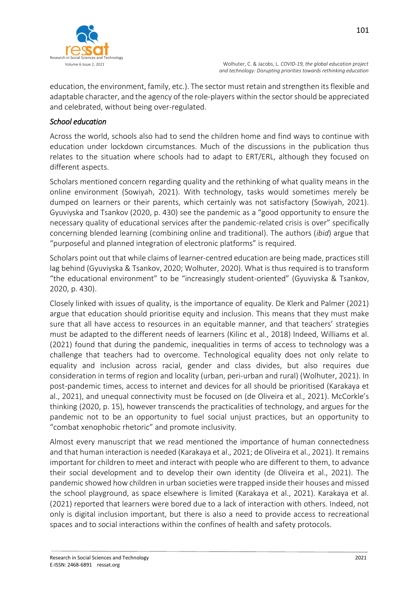

education, the environment, family, etc.). The sector must retain and strengthen its flexible and adaptable character, and the agency of the role-players within the sector should be appreciated and celebrated, without being over-regulated.

# *School education*

Across the world, schools also had to send the children home and find ways to continue with education under lockdown circumstances. Much of the discussions in the publication thus relates to the situation where schools had to adapt to ERT/ERL, although they focused on different aspects.

Scholars mentioned concern regarding quality and the rethinking of what quality means in the online environment (Sowiyah, 2021). With technology, tasks would sometimes merely be dumped on learners or their parents, which certainly was not satisfactory (Sowiyah, 2021). Gyuviyska and Tsankov (2020, p. 430) see the pandemic as a "good opportunity to ensure the necessary quality of educational services after the pandemic-related crisis is over" specifically concerning blended learning (combining online and traditional). The authors (*ibid*) argue that "purposeful and planned integration of electronic platforms" is required.

Scholars point out that while claims of learner-centred education are being made, practices still lag behind (Gyuviyska & Tsankov, 2020; Wolhuter, 2020). What is thus required is to transform "the educational environment" to be "increasingly student-oriented" (Gyuviyska & Tsankov, 2020, p. 430).

Closely linked with issues of quality, is the importance of equality. De Klerk and Palmer (2021) argue that education should prioritise equity and inclusion. This means that they must make sure that all have access to resources in an equitable manner, and that teachers' strategies must be adapted to the different needs of learners (Kilinc et al., 2018) Indeed, Williams et al. (2021) found that during the pandemic, inequalities in terms of access to technology was a challenge that teachers had to overcome. Technological equality does not only relate to equality and inclusion across racial, gender and class divides, but also requires due consideration in terms of region and locality (urban, peri-urban and rural) (Wolhuter, 2021). In post-pandemic times, access to internet and devices for all should be prioritised (Karakaya et al., 2021), and unequal connectivity must be focused on (de Oliveira et al., 2021). McCorkle's thinking (2020, p. 15), however transcends the practicalities of technology, and argues for the pandemic not to be an opportunity to fuel social unjust practices, but an opportunity to "combat xenophobic rhetoric" and promote inclusivity.

Almost every manuscript that we read mentioned the importance of human connectedness and that human interaction is needed (Karakaya et al., 2021; de Oliveira et al., 2021). It remains important for children to meet and interact with people who are different to them, to advance their social development and to develop their own identity (de Oliveira et al., 2021). The pandemic showed how children in urban societies were trapped inside their houses and missed the school playground, as space elsewhere is limited (Karakaya et al., 2021). Karakaya et al. (2021) reported that learners were bored due to a lack of interaction with others. Indeed, not only is digital inclusion important, but there is also a need to provide access to recreational spaces and to social interactions within the confines of health and safety protocols.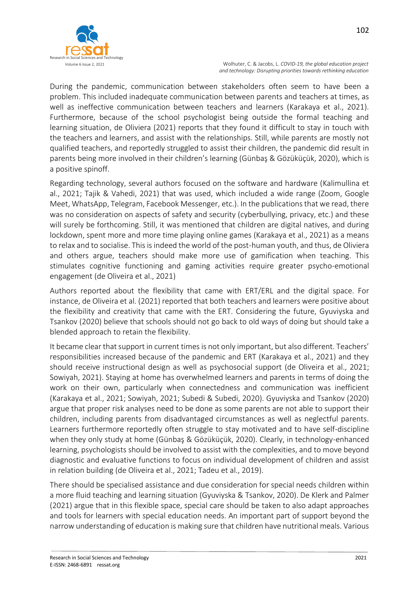

During the pandemic, communication between stakeholders often seem to have been a problem. This included inadequate communication between parents and teachers at times, as well as ineffective communication between teachers and learners (Karakaya et al., 2021). Furthermore, because of the school psychologist being outside the formal teaching and learning situation, de Oliviera (2021) reports that they found it difficult to stay in touch with the teachers and learners, and assist with the relationships. Still, while parents are mostly not qualified teachers, and reportedly struggled to assist their children, the pandemic did result in parents being more involved in their children's learning (Günbaş & Gözüküçük, 2020), which is a positive spinoff.

Regarding technology, several authors focused on the software and hardware (Kalimullina et al., 2021; Tajik & Vahedi, 2021) that was used, which included a wide range (Zoom, Google Meet, WhatsApp, Telegram, Facebook Messenger, etc.). In the publications that we read, there was no consideration on aspects of safety and security (cyberbullying, privacy, etc.) and these will surely be forthcoming. Still, it was mentioned that children are digital natives, and during lockdown, spent more and more time playing online games (Karakaya et al., 2021) as a means to relax and to socialise. This is indeed the world of the post-human youth, and thus, de Oliviera and others argue, teachers should make more use of gamification when teaching. This stimulates cognitive functioning and gaming activities require greater psycho-emotional engagement (de Oliveira et al., 2021)

Authors reported about the flexibility that came with ERT/ERL and the digital space. For instance, de Oliveira et al. (2021) reported that both teachers and learners were positive about the flexibility and creativity that came with the ERT. Considering the future, Gyuviyska and Tsankov (2020) believe that schools should not go back to old ways of doing but should take a blended approach to retain the flexibility.

It became clear that support in current times is not only important, but also different. Teachers' responsibilities increased because of the pandemic and ERT (Karakaya et al., 2021) and they should receive instructional design as well as psychosocial support (de Oliveira et al., 2021; Sowiyah, 2021). Staying at home has overwhelmed learners and parents in terms of doing the work on their own, particularly when connectedness and communication was inefficient (Karakaya et al., 2021; Sowiyah, 2021; Subedi & Subedi, 2020). Gyuviyska and Tsankov (2020) argue that proper risk analyses need to be done as some parents are not able to support their children, including parents from disadvantaged circumstances as well as neglectful parents. Learners furthermore reportedly often struggle to stay motivated and to have self-discipline when they only study at home (Günbaş & Gözüküçük, 2020). Clearly, in technology-enhanced learning, psychologists should be involved to assist with the complexities, and to move beyond diagnostic and evaluative functions to focus on individual development of children and assist in relation building (de Oliveira et al., 2021; Tadeu et al., 2019).

There should be specialised assistance and due consideration for special needs children within a more fluid teaching and learning situation (Gyuviyska & Tsankov, 2020). De Klerk and Palmer (2021) argue that in this flexible space, special care should be taken to also adapt approaches and tools for learners with special education needs. An important part of support beyond the narrow understanding of education is making sure that children have nutritional meals. Various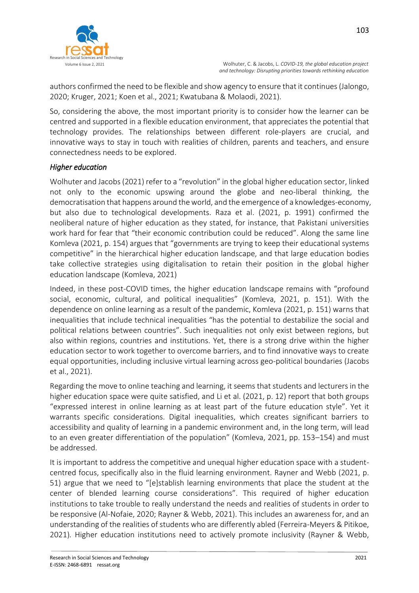

 Volume 6 Issue 2, 2021 Wolhuter, C. & Jacobs, L. *COVID-19, the global education project and technology: Disrupting priorities towards rethinking education*

authors confirmed the need to be flexible and show agency to ensure that it continues (Jalongo, 2020; Kruger, 2021; Koen et al., 2021; Kwatubana & Molaodi, 2021).

So, considering the above, the most important priority is to consider how the learner can be centred and supported in a flexible education environment, that appreciates the potential that technology provides. The relationships between different role-players are crucial, and innovative ways to stay in touch with realities of children, parents and teachers, and ensure connectedness needs to be explored.

## *Higher education*

Wolhuter and Jacobs (2021) refer to a "revolution" in the global higher education sector, linked not only to the economic upswing around the globe and neo-liberal thinking, the democratisation that happens around the world, and the emergence of a knowledges-economy, but also due to technological developments. Raza et al. (2021, p. 1991) confirmed the neoliberal nature of higher education as they stated, for instance, that Pakistani universities work hard for fear that "their economic contribution could be reduced". Along the same line Komleva (2021, p. 154) argues that "governments are trying to keep their educational systems competitive" in the hierarchical higher education landscape, and that large education bodies take collective strategies using digitalisation to retain their position in the global higher education landscape (Komleva, 2021)

Indeed, in these post-COVID times, the higher education landscape remains with "profound social, economic, cultural, and political inequalities" (Komleva, 2021, p. 151). With the dependence on online learning as a result of the pandemic, Komleva (2021, p. 151) warns that inequalities that include technical inequalities "has the potential to destabilize the social and political relations between countries". Such inequalities not only exist between regions, but also within regions, countries and institutions. Yet, there is a strong drive within the higher education sector to work together to overcome barriers, and to find innovative ways to create equal opportunities, including inclusive virtual learning across geo-political boundaries (Jacobs et al., 2021).

Regarding the move to online teaching and learning, it seems that students and lecturers in the higher education space were quite satisfied, and Li et al. (2021, p. 12) report that both groups "expressed interest in online learning as at least part of the future education style". Yet it warrants specific considerations. Digital inequalities, which creates significant barriers to accessibility and quality of learning in a pandemic environment and, in the long term, will lead to an even greater differentiation of the population" (Komleva, 2021, pp. 153–154) and must be addressed.

It is important to address the competitive and unequal higher education space with a studentcentred focus, specifically also in the fluid learning environment. Rayner and Webb (2021, p. 51) argue that we need to "[e]stablish learning environments that place the student at the center of blended learning course considerations". This required of higher education institutions to take trouble to really understand the needs and realities of students in order to be responsive (Al-Nofaie, 2020; Rayner & Webb, 2021). This includes an awareness for, and an understanding of the realities of students who are differently abled (Ferreira-Meyers & Pitikoe, 2021)*.* Higher education institutions need to actively promote inclusivity (Rayner & Webb,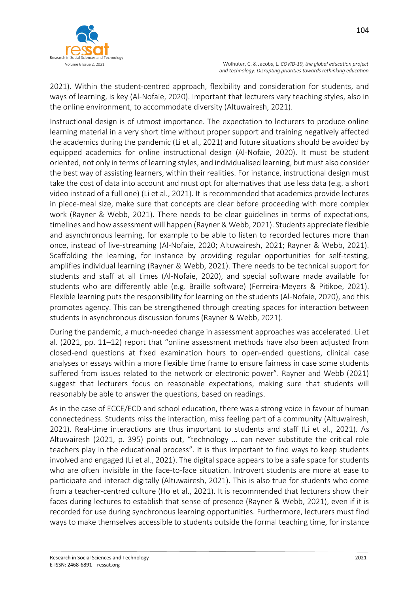

2021). Within the student-centred approach, flexibility and consideration for students, and ways of learning, is key (Al-Nofaie, 2020). Important that lecturers vary teaching styles, also in the online environment, to accommodate diversity (Altuwairesh, 2021).

Instructional design is of utmost importance. The expectation to lecturers to produce online learning material in a very short time without proper support and training negatively affected the academics during the pandemic (Li et al., 2021) and future situations should be avoided by equipped academics for online instructional design (Al-Nofaie, 2020). It must be student oriented, not only in terms of learning styles, and individualised learning, but must also consider the best way of assisting learners, within their realities. For instance, instructional design must take the cost of data into account and must opt for alternatives that use less data (e.g. a short video instead of a full one) (Li et al., 2021). It is recommended that academics provide lectures in piece-meal size, make sure that concepts are clear before proceeding with more complex work (Rayner & Webb, 2021). There needs to be clear guidelines in terms of expectations, timelines and how assessment will happen (Rayner & Webb, 2021). Students appreciate flexible and asynchronous learning, for example to be able to listen to recorded lectures more than once, instead of live-streaming (Al-Nofaie, 2020; Altuwairesh, 2021; Rayner & Webb, 2021). Scaffolding the learning, for instance by providing regular opportunities for self-testing, amplifies individual learning (Rayner & Webb, 2021). There needs to be technical support for students and staff at all times (Al-Nofaie, 2020), and special software made available for students who are differently able (e.g. Braille software) (Ferreira-Meyers & Pitikoe, 2021). Flexible learning puts the responsibility for learning on the students (Al-Nofaie, 2020), and this promotes agency. This can be strengthened through creating spaces for interaction between students in asynchronous discussion forums (Rayner & Webb, 2021).

During the pandemic, a much-needed change in assessment approaches was accelerated. Li et al. (2021, pp. 11–12) report that "online assessment methods have also been adjusted from closed-end questions at fixed examination hours to open-ended questions, clinical case analyses or essays within a more flexible time frame to ensure fairness in case some students suffered from issues related to the network or electronic power". Rayner and Webb (2021) suggest that lecturers focus on reasonable expectations, making sure that students will reasonably be able to answer the questions, based on readings.

As in the case of ECCE/ECD and school education, there was a strong voice in favour of human connectedness. Students miss the interaction, miss feeling part of a community (Altuwairesh, 2021). Real-time interactions are thus important to students and staff (Li et al., 2021). As Altuwairesh (2021, p. 395) points out, "technology … can never substitute the critical role teachers play in the educational process". It is thus important to find ways to keep students involved and engaged (Li et al., 2021). The digital space appears to be a safe space for students who are often invisible in the face-to-face situation. Introvert students are more at ease to participate and interact digitally (Altuwairesh, 2021). This is also true for students who come from a teacher-centred culture (Ho et al., 2021). It is recommended that lecturers show their faces during lectures to establish that sense of presence (Rayner & Webb, 2021), even if it is recorded for use during synchronous learning opportunities. Furthermore, lecturers must find ways to make themselves accessible to students outside the formal teaching time, for instance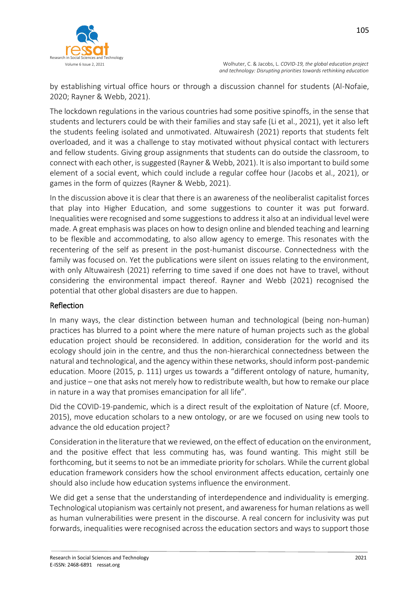

 Volume 6 Issue 2, 2021 Wolhuter, C. & Jacobs, L. *COVID-19, the global education project and technology: Disrupting priorities towards rethinking education*

by establishing virtual office hours or through a discussion channel for students (Al-Nofaie, 2020; Rayner & Webb, 2021).

The lockdown regulations in the various countries had some positive spinoffs, in the sense that students and lecturers could be with their families and stay safe (Li et al., 2021), yet it also left the students feeling isolated and unmotivated. Altuwairesh (2021) reports that students felt overloaded, and it was a challenge to stay motivated without physical contact with lecturers and fellow students. Giving group assignments that students can do outside the classroom, to connect with each other, is suggested (Rayner & Webb, 2021). It is also important to build some element of a social event, which could include a regular coffee hour (Jacobs et al., 2021), or games in the form of quizzes (Rayner & Webb, 2021).

In the discussion above it is clear that there is an awareness of the neoliberalist capitalist forces that play into Higher Education, and some suggestions to counter it was put forward. Inequalities were recognised and some suggestions to address it also at an individual level were made. A great emphasis was places on how to design online and blended teaching and learning to be flexible and accommodating, to also allow agency to emerge. This resonates with the recentering of the self as present in the post-humanist discourse. Connectedness with the family was focused on. Yet the publications were silent on issues relating to the environment, with only Altuwairesh (2021) referring to time saved if one does not have to travel, without considering the environmental impact thereof. Rayner and Webb (2021) recognised the potential that other global disasters are due to happen.

# Reflection

In many ways, the clear distinction between human and technological (being non-human) practices has blurred to a point where the mere nature of human projects such as the global education project should be reconsidered. In addition, consideration for the world and its ecology should join in the centre, and thus the non-hierarchical connectedness between the natural and technological, and the agency within these networks, should inform post-pandemic education. Moore (2015, p. 111) urges us towards a "different ontology of nature, humanity, and justice – one that asks not merely how to redistribute wealth, but how to remake our place in nature in a way that promises emancipation for all life".

Did the COVID-19-pandemic, which is a direct result of the exploitation of Nature (cf. Moore, 2015), move education scholars to a new ontology, or are we focused on using new tools to advance the old education project?

Consideration in the literature that we reviewed, on the effect of education on the environment, and the positive effect that less commuting has, was found wanting. This might still be forthcoming, but it seems to not be an immediate priority for scholars. While the current global education framework considers how the school environment affects education, certainly one should also include how education systems influence the environment.

We did get a sense that the understanding of interdependence and individuality is emerging. Technological utopianism was certainly not present, and awareness for human relations as well as human vulnerabilities were present in the discourse. A real concern for inclusivity was put forwards, inequalities were recognised across the education sectors and ways to support those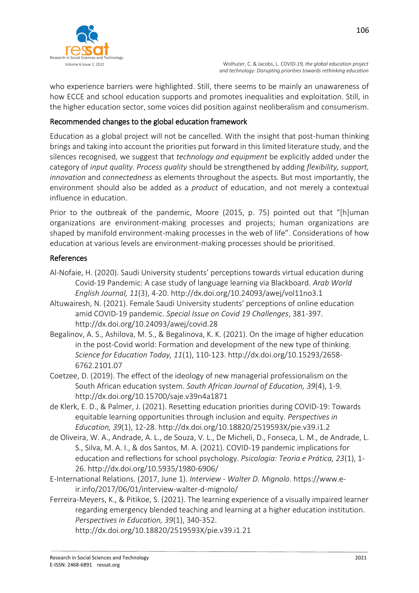

who experience barriers were highlighted. Still, there seems to be mainly an unawareness of how ECCE and school education supports and promotes inequalities and exploitation. Still, in the higher education sector, some voices did position against neoliberalism and consumerism.

# Recommended changes to the global education framework

Education as a global project will not be cancelled. With the insight that post-human thinking brings and taking into account the priorities put forward in this limited literature study, and the silences recognised, we suggest that *technology and equipment* be explicitly added under the category of *input quality. Process quality* should be strengthened by adding *flexibility, support, innovation* and *connectedness* as elements throughout the aspects. But most importantly, the environment should also be added as a *product* of education, and not merely a contextual influence in education.

Prior to the outbreak of the pandemic, Moore (2015, p. 75) pointed out that "[h]uman organizations are environment-making processes and projects; human organizations are shaped by manifold environment-making processes in the web of life". Considerations of how education at various levels are environment-making processes should be prioritised.

#### References

- Al-Nofaie, H. (2020). Saudi University students' perceptions towards virtual education during Covid-19 Pandemic: A case study of language learning via Blackboard. *Arab World English Journal, 11*(3), 4-20. http://dx.doi.org/10.24093/awej/vol11no3.1
- Altuwairesh, N. (2021). Female Saudi University students' perceptions of online education amid COVID-19 pandemic. *Special Issue on Covid 19 Challenges*, 381-397. http://dx.doi.org/10.24093/awej/covid.28
- Begalinov, A. S., Ashilova, M. S., & Begalinova, K. K. (2021). On the image of higher education in the post-Covid world: Formation and development of the new type of thinking. *Science for Education Today, 11*(1), 110-123. http://dx.doi.org/10.15293/2658- 6762.2101.07
- Coetzee, D. (2019). The effect of the ideology of new managerial professionalism on the South African education system. *South African Journal of Education, 39*(4), 1-9. http://dx.doi.org/10.15700/saje.v39n4a1871
- de Klerk, E. D., & Palmer, J. (2021). Resetting education priorities during COVID-19: Towards equitable learning opportunities through inclusion and equity. *Perspectives in Education, 39*(1), 12-28. http://dx.doi.org/10.18820/2519593X/pie.v39.i1.2
- de Oliveira, W. A., Andrade, A. L., de Souza, V. L., De Micheli, D., Fonseca, L. M., de Andrade, L. S., Silva, M. A. I., & dos Santos, M. A. (2021). COVID-19 pandemic implications for education and reflections for school psychology. *Psicologia: Teoria e Prática, 23*(1), 1- 26. http://dx.doi.org/10.5935/1980-6906/
- E-International Relations. (2017, June 1). *Interview - Walter D. Mignolo*. https://www.eir.info/2017/06/01/interview-walter-d-mignolo/
- Ferreira-Meyers, K., & Pitikoe, S. (2021). The learning experience of a visually impaired learner regarding emergency blended teaching and learning at a higher education institution. *Perspectives in Education, 39*(1), 340-352.

http://dx.doi.org/10.18820/2519593X/pie.v39.i1.21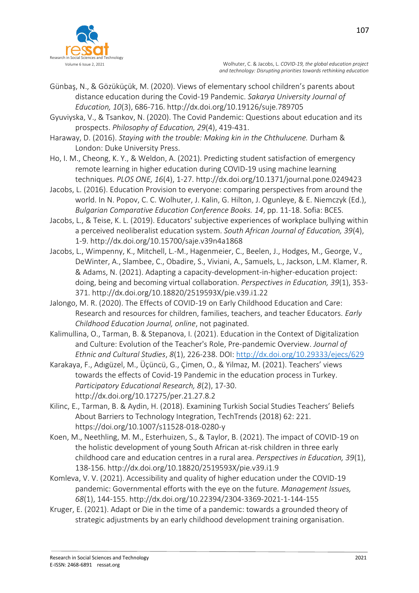

- Günbaş, N., & Gözüküçük, M. (2020). Views of elementary school children's parents about distance education during the Covid-19 Pandemic. *Sakarya University Journal of Education, 10*(3), 686-716. http://dx.doi.org/10.19126/suje.789705
- Gyuviyska, V., & Tsankov, N. (2020). The Covid Pandemic: Questions about education and its prospects. *Philosophy of Education, 29*(4), 419-431.
- Haraway, D. (2016). *Staying with the trouble: Making kin in the Chthulucene.* Durham & London: Duke University Press.
- Ho, I. M., Cheong, K. Y., & Weldon, A. (2021). Predicting student satisfaction of emergency remote learning in higher education during COVID-19 using machine learning techniques. *PLOS ONE, 16*(4), 1-27. http://dx.doi.org/10.1371/journal.pone.0249423
- Jacobs, L. (2016). Education Provision to everyone: comparing perspectives from around the world. In N. Popov, C. C. Wolhuter, J. Kalin, G. Hilton, J. Ogunleye, & E. Niemczyk (Ed.), *Bulgarian Comparative Education Conference Books. 14*, pp. 11-18. Sofia: BCES.
- Jacobs, L., & Teise, K. L. (2019). Educators' subjective experiences of workplace bullying within a perceived neoliberalist education system. *South African Journal of Education, 39*(4), 1-9. http://dx.doi.org/10.15700/saje.v39n4a1868
- Jacobs, L., Wimpenny, K., Mitchell, L.-M., Hagenmeier, C., Beelen, J., Hodges, M., George, V., DeWinter, A., Slambee, C., Obadire, S., Viviani, A., Samuels, L., Jackson, L.M. Klamer, R. & Adams, N. (2021). Adapting a capacity-development-in-higher-education project: doing, being and becoming virtual collaboration. *Perspectives in Education, 39*(1), 353- 371. http://dx.doi.org/10.18820/2519593X/pie.v39.i1.22
- Jalongo, M. R. (2020). The Effects of COVID-19 on Early Childhood Education and Care: Research and resources for children, families, teachers, and teacher Educators. *Early Childhood Education Journal, online*, not paginated.
- Kalimullina, O., Tarman, B. & Stepanova, I. (2021). Education in the Context of Digitalization and Culture: Evolution of the Teacher's Role, Pre-pandemic Overview. *Journal of Ethnic and Cultural Studies*, *8*(1), 226-238. DOI: <http://dx.doi.org/10.29333/ejecs/629>
- Karakaya, F., Adıgüzel, M., Üçüncü, G., Çimen, O., & Yilmaz, M. (2021). Teachers' views towards the effects of Covid-19 Pandemic in the education process in Turkey. *Participatory Educational Research, 8*(2), 17-30. http://dx.doi.org/10.17275/per.21.27.8.2
- Kilinc, E., Tarman, B. & Aydin, H. (2018). Examining Turkish Social Studies Teachers' Beliefs About Barriers to Technology Integration, TechTrends (2018) 62: 221. https://doi.org/10.1007/s11528-018-0280-y
- Koen, M., Neethling, M. M., Esterhuizen, S., & Taylor, B. (2021). The impact of COVID-19 on the holistic development of young South African at-risk children in three early childhood care and education centres in a rural area. *Perspectives in Education, 39*(1), 138-156. http://dx.doi.org/10.18820/2519593X/pie.v39.i1.9
- Komleva, V. V. (2021). Accessibility and quality of higher education under the COVID-19 pandemic: Governmental efforts with the eye on the future. *Management Issues, 68*(1), 144-155. http://dx.doi.org/10.22394/2304-3369-2021-1-144-155
- Kruger, E. (2021). Adapt or Die in the time of a pandemic: towards a grounded theory of strategic adjustments by an early childhood development training organisation.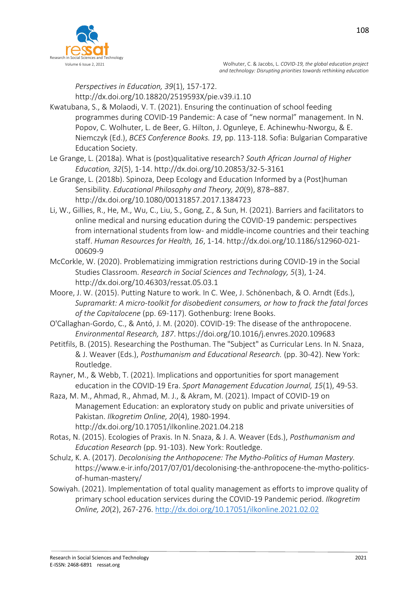

*Perspectives in Education, 39*(1), 157-172.

http://dx.doi.org/10.18820/2519593X/pie.v39.i1.10

- Kwatubana, S., & Molaodi, V. T. (2021). Ensuring the continuation of school feeding programmes during COVID-19 Pandemic: A case of "new normal" management. In N. Popov, C. Wolhuter, L. de Beer, G. Hilton, J. Ogunleye, E. Achinewhu-Nworgu, & E. Niemczyk (Ed.), *BCES Conference Books. 19*, pp. 113-118. Sofia: Bulgarian Comparative Education Society.
- Le Grange, L. (2018a). What is (post)qualitative research? *South African Journal of Higher Education, 32*(5), 1-14. http://dx.doi.org/10.20853/32-5-3161
- Le Grange, L. (2018b). Spinoza, Deep Ecology and Education Informed by a (Post)human Sensibility. *Educational Philosophy and Theory, 20*(9), 878–887. http://dx.doi.org/10.1080/00131857.2017.1384723
- Li, W., Gillies, R., He, M., Wu, C., Liu, S., Gong, Z., & Sun, H. (2021). Barriers and facilitators to online medical and nursing education during the COVID-19 pandemic: perspectives from international students from low- and middle-income countries and their teaching staff. *Human Resources for Health, 16*, 1-14. http://dx.doi.org/10.1186/s12960-021- 00609-9
- McCorkle, W. (2020). Problematizing immigration restrictions during COVID-19 in the Social Studies Classroom. *Research in Social Sciences and Technology, 5*(3), 1-24. http://dx.doi.org/10.46303/ressat.05.03.1
- Moore, J. W. (2015). Putting Nature to work. In C. Wee, J. Schönenbach, & O. Arndt (Eds.), *Supramarkt: A micro-toolkit for disobedient consumers, or how to frack the fatal forces of the Capitalocene* (pp. 69-117). Gothenburg: Irene Books.
- O'Callaghan-Gordo, C., & Antó, J. M. (2020). COVID-19: The disease of the anthropocene. *Environmental Research, 187*. https://doi.org/10.1016/j.envres.2020.109683
- Petitfils, B. (2015). Researching the Posthuman. The "Subject" as Curricular Lens. In N. Snaza, & J. Weaver (Eds.), *Posthumanism and Educational Research.* (pp. 30-42). New York: Routledge.
- Rayner, M., & Webb, T. (2021). Implications and opportunities for sport management education in the COVID-19 Era. *Sport Management Education Journal, 15*(1), 49-53.
- Raza, M. M., Ahmad, R., Ahmad, M. J., & Akram, M. (2021). Impact of COVID-19 on Management Education: an exploratory study on public and private universities of Pakistan. *Ilkogretim Online, 20*(4), 1980-1994. http://dx.doi.org/10.17051/ilkonline.2021.04.218
- Rotas, N. (2015). Ecologies of Praxis. In N. Snaza, & J. A. Weaver (Eds.), *Posthumanism and Education Research* (pp. 91-103). New York: Routledge.
- Schulz, K. A. (2017). *Decolonising the Anthopocene: The Mytho-Politics of Human Mastery.* https://www.e-ir.info/2017/07/01/decolonising-the-anthropocene-the-mytho-politicsof-human-mastery/
- Sowiyah. (2021). Implementation of total quality management as efforts to improve quality of primary school education services during the COVID-19 Pandemic period. *Ilkogretim Online, 20*(2), 267-276.<http://dx.doi.org/10.17051/ilkonline.2021.02.02>